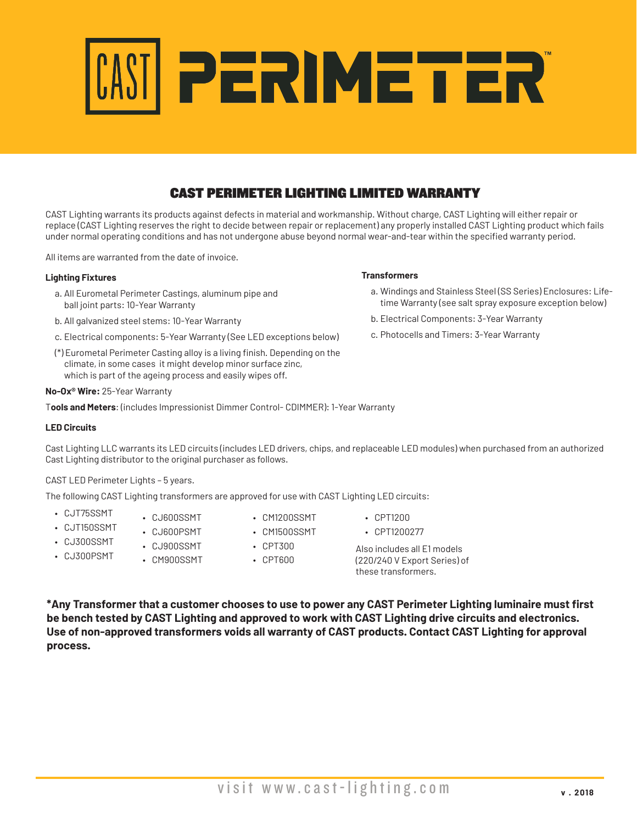

# **PRICE AND THE PRICE CONSTRANT**<br>POINT 2019 **PCC PRICE CAST PERIMETER LIGHTING LIMITED WARRANTY**

**Manufacturer Rep's**

CAST Lighting warrants its products against defects in material and workmanship. Without charge, CAST Lighting will either repair or replace (CAST Lighting reserves the right to decide between repair or replacement) any properly installed CAST Lighting product which fails under normal operating conditions and has not undergone abuse beyond normal wear-and-tear within the specified warranty period.

All items are warranted from the date of invoice.

### **Lighting Fixtures**

- a. All Eurometal Perimeter Castings, aluminum pipe and ball joint parts: 10-Year Warranty
- b. All galvanized steel stems: 10-Year Warranty
- c. Electrical components: 5-Year Warranty (See LED exceptions below)
- (\*) Eurometal Perimeter Casting alloy is a living finish. Depending on the climate, in some cases it might develop minor surface zinc, which is part of the ageing process and easily wipes off.

### **No-Ox® Wire:** 25-Year Warranty

T**ools and Meters**: (includes Impressionist Dimmer Control- CDIMMER): 1-Year Warranty

### **LED Circuits**

Cast Lighting LLC warrants its LED circuits (includes LED drivers, chips, and replaceable LED modules) when purchased from an authorized Cast Lighting distributor to the original purchaser as follows.

### CAST LED Perimeter Lights – 5 years.

The following CAST Lighting transformers are approved for use with CAST Lighting LED circuits:

• CJT75SSMT

• CJ300PSMT

• CJ600SSMT

• CM900SSMT

- CJT150SSMT • CJ300SSMT • CJ600PSMT
	- CJ900SSMT
- CPT300

• CM1200SSMT • CM1500SSMT

- CPT600
- CPT1200

**Transformers**

a. Windings and Stainless Steel (SS Series) Enclosures: Lifetime Warranty (see salt spray exposure exception below)

b. Electrical Components: 3-Year Warranty c. Photocells and Timers: 3-Year Warranty

- CPT1200277
- Also includes all E1 models (220/240 V Export Series) of these transformers.
- **\*Any Transformer that a customer chooses to use to power any CAST Perimeter Lighting luminaire must first be bench tested by CAST Lighting and approved to work with CAST Lighting drive circuits and electronics. Use of non-approved transformers voids all warranty of CAST products. Contact CAST Lighting for approval process.**